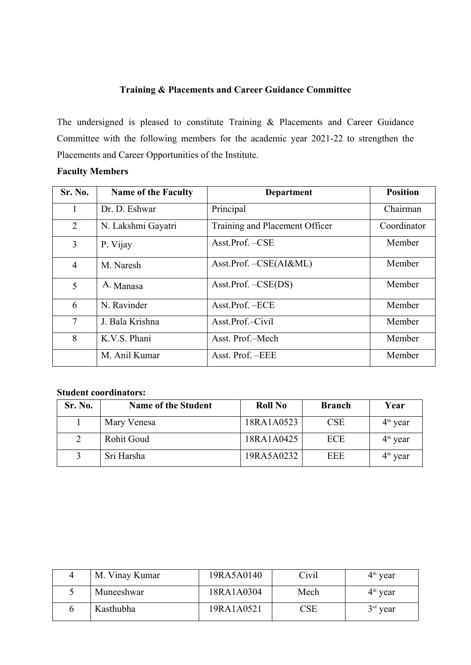## **Training & Placements and Career Guidance Committee**

The undersigned is pleased to constitute Training & Placements and Career Guidance Committee with the following members for the academic year 2021-22 to strengthen the Placements and Career Opportunities of the Institute.

## **Faculty Members**

| Sr. No.        | <b>Name of the Faculty</b> | <b>Department</b>                                      | <b>Position</b> |
|----------------|----------------------------|--------------------------------------------------------|-----------------|
|                | Dr. D. Eshwar              | Principal                                              | Chairman        |
| 2              | N. Lakshmi Gayatri         | Training and Placement Officer                         | Coordinator     |
| 3              | P. Vijay                   | Asst.Prof. -CSE                                        | Member          |
| $\overline{4}$ | M. Naresh                  | $\text{Asst.Prof.} - \text{CSE}(\text{AI}\&\text{ML})$ | Member          |
| 5              | A. Manasa                  | $\text{Asst.} \text{Prof.} - \text{CSE}(\text{DS})$    | Member          |
| 6              | N. Ravinder                | Asst.Prof. - ECE                                       | Member          |
| $\overline{7}$ | J. Bala Krishna            | Asst.Prof.-Civil                                       | Member          |
| 8              | K.V.S. Phani               | Asst. Prof.-Mech                                       | Member          |
|                | M. Anil Kumar              | Asst. Prof. - EEE                                      | Member          |

## **Student coordinators:**

| Sr. No. | <b>Name of the Student</b> | <b>Roll No</b> | <b>Branch</b> | Year       |
|---------|----------------------------|----------------|---------------|------------|
|         | Mary Venesa                | 18RA1A0523     | <b>CSE</b>    | $4th$ year |
|         | <b>Rohit Goud</b>          | 18RA1A0425     | <b>ECE</b>    | $4th$ year |
|         | Sri Harsha                 | 19RA5A0232     | EEE           | $4th$ year |

| M. Vinay Kumar | 19RA5A0140 | Civil                   | $4th$ year |
|----------------|------------|-------------------------|------------|
| Muneeshwar     | 18RA1A0304 | Mech                    | $4th$ year |
| Kasthubha      | 19RA1A0521 | $\mathbb{C}\mathrm{SE}$ | $3rd$ year |